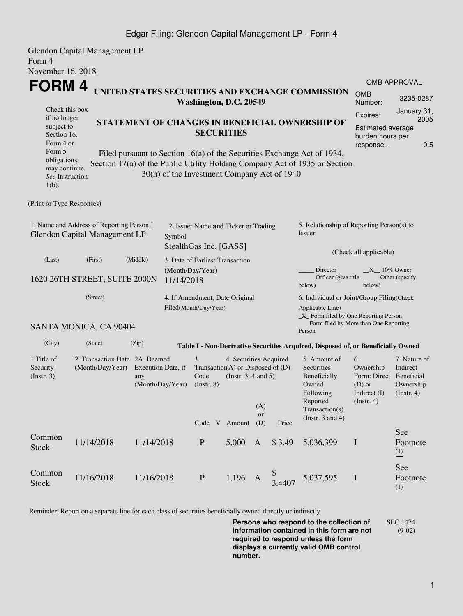## Edgar Filing: Glendon Capital Management LP - Form 4

Glendon Capital Management LP Form 4 November 16, 2018

| November 16, 2018                                                                                                                                                                                                                                                             |                                                    |                                                                |                                                                                                                                                                       |       |              |                                                                                                                         |                                                                                                         |                                                                      |                             |  |  |
|-------------------------------------------------------------------------------------------------------------------------------------------------------------------------------------------------------------------------------------------------------------------------------|----------------------------------------------------|----------------------------------------------------------------|-----------------------------------------------------------------------------------------------------------------------------------------------------------------------|-------|--------------|-------------------------------------------------------------------------------------------------------------------------|---------------------------------------------------------------------------------------------------------|----------------------------------------------------------------------|-----------------------------|--|--|
| FORM 4<br>UNITED STATES SECURITIES AND EXCHANGE COMMISSION<br>Washington, D.C. 20549                                                                                                                                                                                          |                                                    |                                                                |                                                                                                                                                                       |       |              |                                                                                                                         |                                                                                                         | <b>OMB APPROVAL</b>                                                  |                             |  |  |
|                                                                                                                                                                                                                                                                               |                                                    |                                                                |                                                                                                                                                                       |       |              |                                                                                                                         |                                                                                                         | <b>OMB</b><br>Number:                                                | 3235-0287                   |  |  |
| Check this box<br>if no longer<br>subject to<br>Section 16.<br>Form 4 or                                                                                                                                                                                                      |                                                    |                                                                | <b>SECURITIES</b>                                                                                                                                                     |       |              |                                                                                                                         | STATEMENT OF CHANGES IN BENEFICIAL OWNERSHIP OF                                                         | Expires:<br><b>Estimated average</b><br>burden hours per<br>response | January 31,<br>2005<br>0.5  |  |  |
| Form 5<br>Filed pursuant to Section 16(a) of the Securities Exchange Act of 1934,<br>obligations<br>Section 17(a) of the Public Utility Holding Company Act of 1935 or Section<br>may continue.<br>30(h) of the Investment Company Act of 1940<br>See Instruction<br>$1(b)$ . |                                                    |                                                                |                                                                                                                                                                       |       |              |                                                                                                                         |                                                                                                         |                                                                      |                             |  |  |
| (Print or Type Responses)                                                                                                                                                                                                                                                     |                                                    |                                                                |                                                                                                                                                                       |       |              |                                                                                                                         |                                                                                                         |                                                                      |                             |  |  |
| 1. Name and Address of Reporting Person *<br>Glendon Capital Management LP                                                                                                                                                                                                    | Symbol                                             | 2. Issuer Name and Ticker or Trading<br>StealthGas Inc. [GASS] |                                                                                                                                                                       |       |              | 5. Relationship of Reporting Person(s) to<br>Issuer<br>(Check all applicable)                                           |                                                                                                         |                                                                      |                             |  |  |
| (Last)                                                                                                                                                                                                                                                                        | (First)                                            | (Middle)<br>3. Date of Earliest Transaction                    |                                                                                                                                                                       |       |              |                                                                                                                         |                                                                                                         |                                                                      |                             |  |  |
| 1620 26TH STREET, SUITE 2000N                                                                                                                                                                                                                                                 | (Month/Day/Year)<br>11/14/2018                     |                                                                |                                                                                                                                                                       |       |              | Director<br>$X_1$ 10% Owner<br>Officer (give title<br>Other (specify<br>below)<br>below)                                |                                                                                                         |                                                                      |                             |  |  |
|                                                                                                                                                                                                                                                                               | (Street)                                           |                                                                | 4. If Amendment, Date Original<br>Filed(Month/Day/Year)                                                                                                               |       |              |                                                                                                                         | 6. Individual or Joint/Group Filing(Check<br>Applicable Line)<br>_X_ Form filed by One Reporting Person |                                                                      |                             |  |  |
|                                                                                                                                                                                                                                                                               | SANTA MONICA, CA 90404                             |                                                                |                                                                                                                                                                       |       |              |                                                                                                                         | Form filed by More than One Reporting<br>Person                                                         |                                                                      |                             |  |  |
| (City)                                                                                                                                                                                                                                                                        | (State)                                            | (Zip)                                                          |                                                                                                                                                                       |       |              |                                                                                                                         | Table I - Non-Derivative Securities Acquired, Disposed of, or Beneficially Owned                        |                                                                      |                             |  |  |
| 1. Title of<br>Security<br>(Insert. 3)                                                                                                                                                                                                                                        | 2. Transaction Date 2A. Deemed<br>(Month/Day/Year) | Execution Date, if<br>any<br>(Month/Day/Year)                  | 3.<br>4. Securities Acquired<br>Transaction(A) or Disposed of (D)<br>Code<br>(Instr. $3, 4$ and $5$ )<br>(Instr. 8)<br>(A)<br><b>or</b><br>Code V Amount (D)<br>Price |       |              | 5. Amount of<br>Securities<br>Beneficially<br>Owned<br>Following<br>Reported<br>Transaction(s)<br>(Instr. $3$ and $4$ ) | 6.<br>Ownership<br>Form: Direct Beneficial<br>$(D)$ or<br>Indirect $(I)$<br>$($ Instr. 4 $)$            | 7. Nature of<br>Indirect<br>Ownership<br>$($ Instr. 4 $)$            |                             |  |  |
| Common                                                                                                                                                                                                                                                                        |                                                    |                                                                |                                                                                                                                                                       |       |              |                                                                                                                         |                                                                                                         |                                                                      | See                         |  |  |
| <b>Stock</b>                                                                                                                                                                                                                                                                  | 11/14/2018                                         | 11/14/2018                                                     | $\mathbf{P}$                                                                                                                                                          | 5,000 | $\mathbf{A}$ | \$3.49                                                                                                                  | 5,036,399                                                                                               | $\mathbf I$                                                          | Footnote<br>$\frac{(1)}{2}$ |  |  |
| Common<br><b>Stock</b>                                                                                                                                                                                                                                                        | 11/16/2018                                         | 11/16/2018                                                     | $\, {\bf P}$                                                                                                                                                          | 1,196 | A            | \$<br>3.4407                                                                                                            | 5,037,595                                                                                               | $\bf I$                                                              | See<br>Footnote<br>(1)      |  |  |

Reminder: Report on a separate line for each class of securities beneficially owned directly or indirectly.

**Persons who respond to the collection of information contained in this form are not required to respond unless the form displays a currently valid OMB control number.** SEC 1474 (9-02)